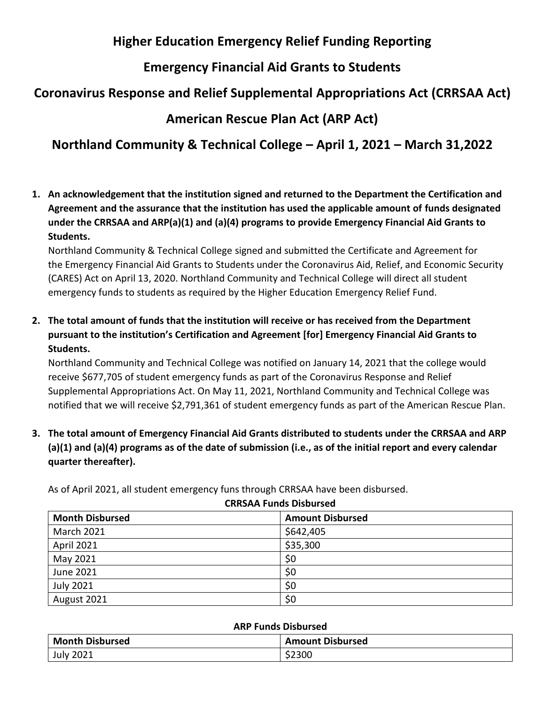### **Higher Education Emergency Relief Funding Reporting**

# **Emergency Financial Aid Grants to Students**

# **Coronavirus Response and Relief Supplemental Appropriations Act (CRRSAA Act)**

## **American Rescue Plan Act (ARP Act)**

# **Northland Community & Technical College – April 1, 2021 – March 31,2022**

**1. An acknowledgement that the institution signed and returned to the Department the Certification and Agreement and the assurance that the institution has used the applicable amount of funds designated under the CRRSAA and ARP(a)(1) and (a)(4) programs to provide Emergency Financial Aid Grants to Students.**

Northland Community & Technical College signed and submitted the Certificate and Agreement for the Emergency Financial Aid Grants to Students under the Coronavirus Aid, Relief, and Economic Security (CARES) Act on April 13, 2020. Northland Community and Technical College will direct all student emergency funds to students as required by the Higher Education Emergency Relief Fund.

**2. The total amount of funds that the institution will receive or has received from the Department pursuant to the institution's Certification and Agreement [for] Emergency Financial Aid Grants to Students.**

Northland Community and Technical College was notified on January 14, 2021 that the college would receive \$677,705 of student emergency funds as part of the Coronavirus Response and Relief Supplemental Appropriations Act. On May 11, 2021, Northland Community and Technical College was notified that we will receive \$2,791,361 of student emergency funds as part of the American Rescue Plan.

**3. The total amount of Emergency Financial Aid Grants distributed to students under the CRRSAA and ARP (a)(1) and (a)(4) programs as of the date of submission (i.e., as of the initial report and every calendar quarter thereafter).**

As of April 2021, all student emergency funs through CRRSAA have been disbursed.

| <b>CRRSAA Funds Disbursed</b> |                         |
|-------------------------------|-------------------------|
| <b>Month Disbursed</b>        | <b>Amount Disbursed</b> |
| <b>March 2021</b>             | \$642,405               |
| April 2021                    | \$35,300                |
| May 2021                      | \$0                     |
| June 2021                     | \$0                     |
| <b>July 2021</b>              | \$0                     |
| August 2021                   | \$0                     |

#### **ARP Funds Disbursed**

| <b>Month Disbursed</b> | <b>Amount Disbursed</b> |
|------------------------|-------------------------|
| <b>July 2021</b>       | \$2300                  |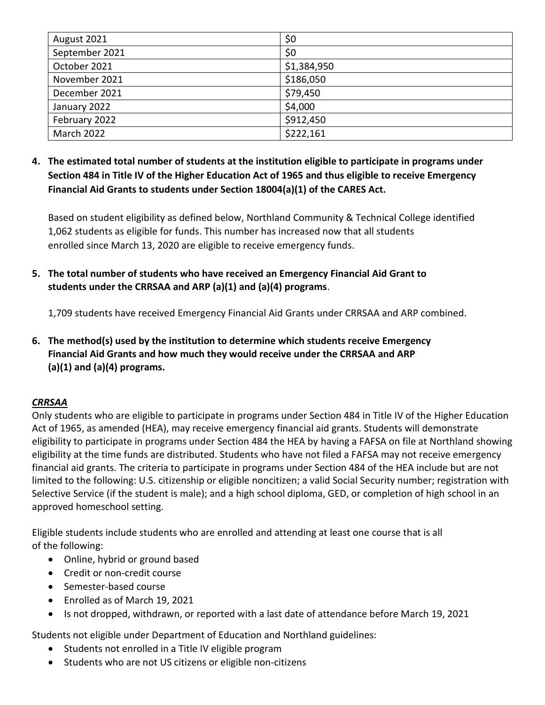| August 2021    | \$0         |
|----------------|-------------|
| September 2021 | \$0         |
| October 2021   | \$1,384,950 |
| November 2021  | \$186,050   |
| December 2021  | \$79,450    |
| January 2022   | \$4,000     |
| February 2022  | \$912,450   |
| March 2022     | \$222,161   |

**4. The estimated total number of students at the institution eligible to participate in programs under Section 484 in Title IV of the Higher Education Act of 1965 and thus eligible to receive Emergency Financial Aid Grants to students under Section 18004(a)(1) of the CARES Act.**

Based on student eligibility as defined below, Northland Community & Technical College identified 1,062 students as eligible for funds. This number has increased now that all students enrolled since March 13, 2020 are eligible to receive emergency funds.

**5. The total number of students who have received an Emergency Financial Aid Grant to students under the CRRSAA and ARP (a)(1) and (a)(4) programs**.

1,709 students have received Emergency Financial Aid Grants under CRRSAA and ARP combined.

**6. The method(s) used by the institution to determine which students receive Emergency Financial Aid Grants and how much they would receive under the CRRSAA and ARP (a)(1) and (a)(4) programs.**

#### *CRRSAA*

Only students who are eligible to participate in programs under Section 484 in Title IV of the Higher Education Act of 1965, as amended (HEA), may receive emergency financial aid grants. Students will demonstrate eligibility to participate in programs under Section 484 the HEA by having a FAFSA on file at Northland showing eligibility at the time funds are distributed. Students who have not filed a FAFSA may not receive emergency financial aid grants. The criteria to participate in programs under Section 484 of the HEA include but are not limited to the following: U.S. citizenship or eligible noncitizen; a valid Social Security number; registration with Selective Service (if the student is male); and a high school diploma, GED, or completion of high school in an approved homeschool setting.

Eligible students include students who are enrolled and attending at least one course that is all of the following:

- Online, hybrid or ground based
- Credit or non-credit course
- Semester‐based course
- Enrolled as of March 19, 2021
- Is not dropped, withdrawn, or reported with a last date of attendance before March 19, 2021

Students not eligible under Department of Education and Northland guidelines:

- Students not enrolled in a Title IV eligible program
- Students who are not US citizens or eligible non‐citizens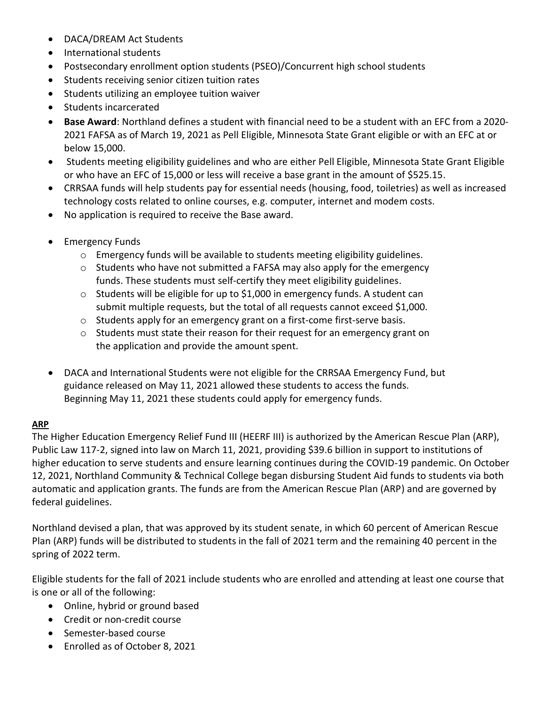- DACA/DREAM Act Students
- International students
- Postsecondary enrollment option students (PSEO)/Concurrent high school students
- Students receiving senior citizen tuition rates
- Students utilizing an employee tuition waiver
- Students incarcerated
- **Base Award**: Northland defines a student with financial need to be a student with an EFC from a 2020‐ 2021 FAFSA as of March 19, 2021 as Pell Eligible, Minnesota State Grant eligible or with an EFC at or below 15,000.
- Students meeting eligibility guidelines and who are either Pell Eligible, Minnesota State Grant Eligible or who have an EFC of 15,000 or less will receive a base grant in the amount of \$525.15.
- CRRSAA funds will help students pay for essential needs (housing, food, toiletries) as well as increased technology costs related to online courses, e.g. computer, internet and modem costs.
- No application is required to receive the Base award.
- Emergency Funds
	- $\circ$  Emergency funds will be available to students meeting eligibility guidelines.
	- $\circ$  Students who have not submitted a FAFSA may also apply for the emergency funds. These students must self‐certify they meet eligibility guidelines.
	- o Students will be eligible for up to \$1,000 in emergency funds. A student can submit multiple requests, but the total of all requests cannot exceed \$1,000.
	- o Students apply for an emergency grant on a first‐come first‐serve basis.
	- o Students must state their reason for their request for an emergency grant on the application and provide the amount spent.
- DACA and International Students were not eligible for the CRRSAA Emergency Fund, but guidance released on May 11, 2021 allowed these students to access the funds. Beginning May 11, 2021 these students could apply for emergency funds.

#### **ARP**

The Higher Education Emergency Relief Fund III (HEERF III) is authorized by the American Rescue Plan (ARP), Public Law 117-2, signed into law on March 11, 2021, providing \$39.6 billion in support to institutions of higher education to serve students and ensure learning continues during the COVID-19 pandemic. On October 12, 2021, Northland Community & Technical College began disbursing Student Aid funds to students via both automatic and application grants. The funds are from the American Rescue Plan (ARP) and are governed by federal guidelines.

Northland devised a plan, that was approved by its student senate, in which 60 percent of American Rescue Plan (ARP) funds will be distributed to students in the fall of 2021 term and the remaining 40 percent in the spring of 2022 term.

Eligible students for the fall of 2021 include students who are enrolled and attending at least one course that is one or all of the following:

- Online, hybrid or ground based
- Credit or non-credit course
- Semester‐based course
- Enrolled as of October 8, 2021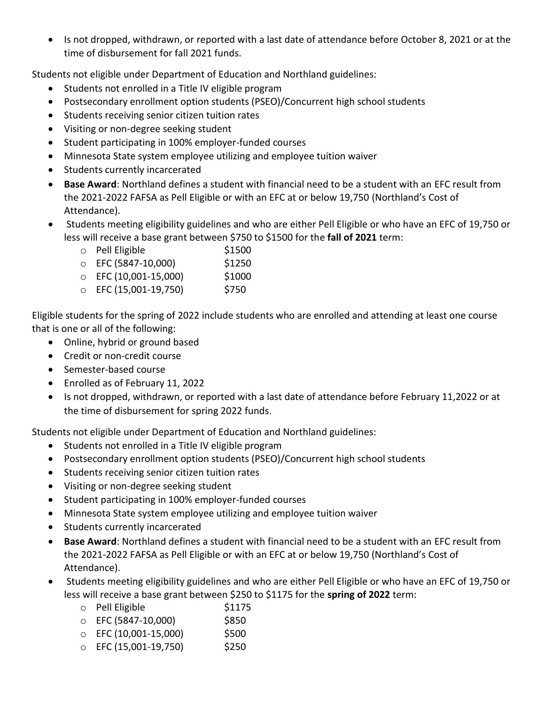• Is not dropped, withdrawn, or reported with a last date of attendance before October 8, 2021 or at the time of disbursement for fall 2021 funds.

Students not eligible under Department of Education and Northland guidelines:

- Students not enrolled in a Title IV eligible program
- Postsecondary enrollment option students (PSEO)/Concurrent high school students
- Students receiving senior citizen tuition rates
- Visiting or non-degree seeking student
- Student participating in 100% employer-funded courses
- Minnesota State system employee utilizing and employee tuition waiver
- Students currently incarcerated
- **Base Award**: Northland defines a student with financial need to be a student with an EFC result from the 2021‐2022 FAFSA as Pell Eligible or with an EFC at or below 19,750 (Northland's Cost of Attendance).
- Students meeting eligibility guidelines and who are either Pell Eligible or who have an EFC of 19,750 or less will receive a base grant between \$750 to \$1500 for the **fall of 2021** term:
	- o Pell Eligible \$1500
	- o EFC (5847-10,000) \$1250
	- o EFC (10,001-15,000) \$1000
	- o EFC (15,001-19,750) \$750

Eligible students for the spring of 2022 include students who are enrolled and attending at least one course that is one or all of the following:

- Online, hybrid or ground based
- Credit or non-credit course
- Semester‐based course
- Enrolled as of February 11, 2022
- Is not dropped, withdrawn, or reported with a last date of attendance before February 11,2022 or at the time of disbursement for spring 2022 funds.

Students not eligible under Department of Education and Northland guidelines:

- Students not enrolled in a Title IV eligible program
- Postsecondary enrollment option students (PSEO)/Concurrent high school students
- Students receiving senior citizen tuition rates
- Visiting or non-degree seeking student
- Student participating in 100% employer-funded courses
- Minnesota State system employee utilizing and employee tuition waiver
- Students currently incarcerated
- **Base Award**: Northland defines a student with financial need to be a student with an EFC result from the 2021‐2022 FAFSA as Pell Eligible or with an EFC at or below 19,750 (Northland's Cost of Attendance).
- Students meeting eligibility guidelines and who are either Pell Eligible or who have an EFC of 19,750 or less will receive a base grant between \$250 to \$1175 for the **spring of 2022** term:
	- o Pell Eligible \$1175
	- o EFC (5847-10,000) \$850
	- o EFC (10,001-15,000) \$500
	- o EFC (15,001-19,750) \$250